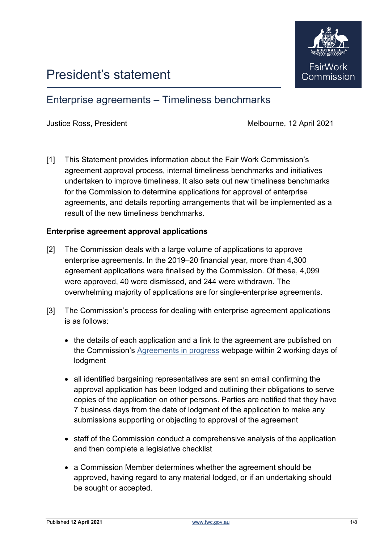

# President's statement

# Enterprise agreements – Timeliness benchmarks

Justice Ross, President Melbourne, 12 April 2021

[1] This Statement provides information about the Fair Work Commission's agreement approval process, internal timeliness benchmarks and initiatives undertaken to improve timeliness. It also sets out new timeliness benchmarks for the Commission to determine applications for approval of enterprise agreements, and details reporting arrangements that will be implemented as a result of the new timeliness benchmarks.

# **Enterprise agreement approval applications**

- [2] The Commission deals with a large volume of applications to approve enterprise agreements. In the 2019–20 financial year, more than 4,300 agreement applications were finalised by the Commission. Of these, 4,099 were approved, 40 were dismissed, and 244 were withdrawn. The overwhelming majority of applications are for single-enterprise agreements.
- [3] The Commission's process for dealing with enterprise agreement applications is as follows:
	- the details of each application and a link to the agreement are published on the Commission's [Agreements in progress](https://www.fwc.gov.au/awards-and-agreements/agreements/agreements-progress) webpage within 2 working days of lodgment
	- all identified bargaining representatives are sent an email confirming the approval application has been lodged and outlining their obligations to serve copies of the application on other persons. Parties are notified that they have 7 business days from the date of lodgment of the application to make any submissions supporting or objecting to approval of the agreement
	- staff of the Commission conduct a comprehensive analysis of the application and then complete a legislative checklist
	- a Commission Member determines whether the agreement should be approved, having regard to any material lodged, or if an undertaking should be sought or accepted.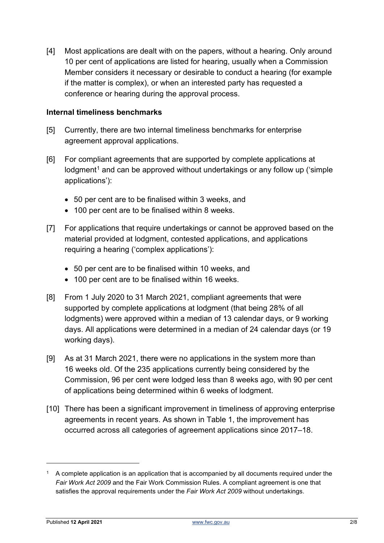[4] Most applications are dealt with on the papers, without a hearing. Only around 10 per cent of applications are listed for hearing, usually when a Commission Member considers it necessary or desirable to conduct a hearing (for example if the matter is complex), or when an interested party has requested a conference or hearing during the approval process.

# **Internal timeliness benchmarks**

- [5] Currently, there are two internal timeliness benchmarks for enterprise agreement approval applications.
- [6] For compliant agreements that are supported by complete applications at  $\log$  lodgment<sup>[1](#page-1-0)</sup> and can be approved without undertakings or any follow up ('simple applications'):
	- 50 per cent are to be finalised within 3 weeks, and
	- 100 per cent are to be finalised within 8 weeks.
- [7] For applications that require undertakings or cannot be approved based on the material provided at lodgment, contested applications, and applications requiring a hearing ('complex applications'):
	- 50 per cent are to be finalised within 10 weeks, and
	- 100 per cent are to be finalised within 16 weeks.
- [8] From 1 July 2020 to 31 March 2021, compliant agreements that were supported by complete applications at lodgment (that being 28% of all lodgments) were approved within a median of 13 calendar days, or 9 working days. All applications were determined in a median of 24 calendar days (or 19 working days).
- [9] As at 31 March 2021, there were no applications in the system more than 16 weeks old. Of the 235 applications currently being considered by the Commission, 96 per cent were lodged less than 8 weeks ago, with 90 per cent of applications being determined within 6 weeks of lodgment.
- [10] There has been a significant improvement in timeliness of approving enterprise agreements in recent years. As shown in Table 1, the improvement has occurred across all categories of agreement applications since 2017–18.

<span id="page-1-0"></span> $1$  A complete application is an application that is accompanied by all documents required under the *Fair Work Act 2009* and the Fair Work Commission Rules. A compliant agreement is one that satisfies the approval requirements under the *Fair Work Act 2009* without undertakings.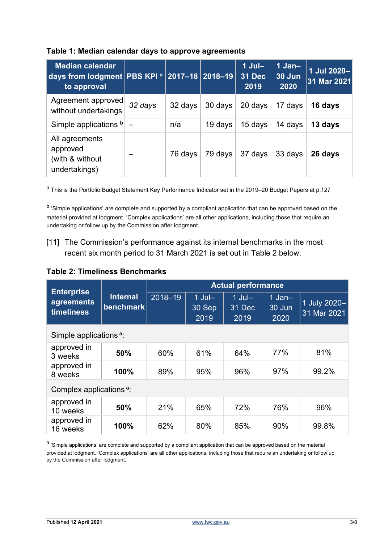| <b>Median calendar</b><br>days from lodgment PBS KPI <sup>a</sup> 2017-18 2018-19<br>to approval |         |         |         | $1$ Jul-<br><b>31 Dec</b><br>2019 | $1$ Jan-<br>30 Jun<br>2020 | 1 Jul 2020-<br>31 Mar 2021 |
|--------------------------------------------------------------------------------------------------|---------|---------|---------|-----------------------------------|----------------------------|----------------------------|
| Agreement approved<br>without undertakings                                                       | 32 days | 32 days | 30 days | 20 days                           | 17 days                    | 16 days                    |
| Simple applications b                                                                            |         | n/a     | 19 days | 15 days                           | 14 days                    | 13 days                    |
| All agreements<br>approved<br>(with & without<br>undertakings)                                   |         | 76 days | 79 days | 37 days                           | 33 days                    | 26 days                    |

#### **Table 1: Median calendar days to approve agreements**

<sup>a</sup> This is the Portfolio Budget Statement Key Performance Indicator set in the 2019–20 Budget Papers at p.127

<sup>b</sup> 'Simple applications' are complete and supported by a compliant application that can be approved based on the material provided at lodgment. 'Complex applications' are all other applications, including those that require an undertaking or follow up by the Commission after lodgment.

# [11] The Commission's performance against its internal benchmarks in the most recent six month period to 31 March 2021 is set out in Table 2 below.

# **Table 2: Timeliness Benchmarks**

| <b>Enterprise</b><br>agreements<br><b>timeliness</b> |                              | <b>Actual performance</b> |                            |                            |                               |                             |  |  |  |  |
|------------------------------------------------------|------------------------------|---------------------------|----------------------------|----------------------------|-------------------------------|-----------------------------|--|--|--|--|
|                                                      | <b>Internal</b><br>benchmark | $2018 - 19$               | $1$ Jul-<br>30 Sep<br>2019 | $1$ Jul-<br>31 Dec<br>2019 | $1$ Jan $-$<br>30 Jun<br>2020 | 1 July 2020-<br>31 Mar 2021 |  |  |  |  |
| Simple applications <sup>a</sup> :                   |                              |                           |                            |                            |                               |                             |  |  |  |  |
| approved in<br>3 weeks                               | 50%                          | 60%                       | 61%                        | 64%                        | 77%                           | 81%                         |  |  |  |  |
| approved in<br>8 weeks                               | 100%                         | 89%                       | 95%                        | 96%                        | 97%                           | 99.2%                       |  |  |  |  |
| Complex applications <sup>a</sup> :                  |                              |                           |                            |                            |                               |                             |  |  |  |  |
| approved in<br>10 weeks                              | 50%                          | 21%                       | 65%                        | 72%                        | 76%                           | 96%                         |  |  |  |  |
| approved in<br>16 weeks                              | 100%                         | 62%                       | 80%                        | 85%                        | 90%                           | 99.8%                       |  |  |  |  |

a 'Simple applications' are complete and supported by a compliant application that can be approved based on the material provided at lodgment. 'Complex applications' are all other applications, including those that require an undertaking or follow up by the Commission after lodgment.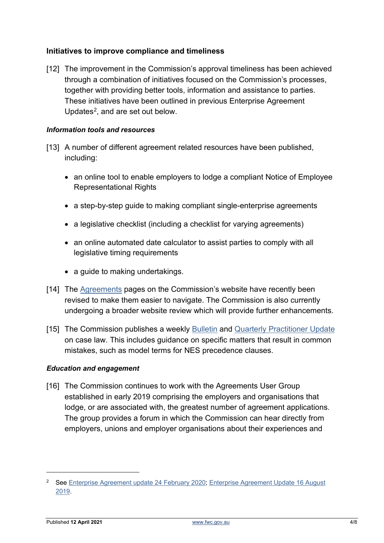# **Initiatives to improve compliance and timeliness**

[12] The improvement in the Commission's approval timeliness has been achieved through a combination of initiatives focused on the Commission's processes, together with providing better tools, information and assistance to parties. These initiatives have been outlined in previous Enterprise Agreement Updates<sup>[2](#page-3-0)</sup>, and are set out below.

#### *Information tools and resources*

- [13] A number of different agreement related resources have been published, including:
	- an online tool to enable employers to lodge a compliant Notice of Employee Representational Rights
	- a step-by-step guide to making compliant single-enterprise agreements
	- a legislative checklist (including a checklist for varying agreements)
	- an online automated date calculator to assist parties to comply with all legislative timing requirements
	- a guide to making undertakings.
- [14] The [Agreements](https://www.fwc.gov.au/awards-agreements/agreements) pages on the Commission's website have recently been revised to make them easier to navigate. The Commission is also currently undergoing a broader website review which will provide further enhancements.
- [15] The Commission publishes a weekly [Bulletin](https://www.fwc.gov.au/cases-decisions-and-orders/fwc-bulletin) and [Quarterly Practitioner Update](https://www.fwc.gov.au/resources/quarterly-practitioner-update) on case law. This includes guidance on specific matters that result in common mistakes, such as model terms for NES precedence clauses.

#### *Education and engagement*

[16] The Commission continues to work with the Agreements User Group established in early 2019 comprising the employers and organisations that lodge, or are associated with, the greatest number of agreement applications. The group provides a forum in which the Commission can hear directly from employers, unions and employer organisations about their experiences and

<span id="page-3-0"></span><sup>&</sup>lt;sup>2</sup> See [Enterprise Agreement update 24 February 2020;](https://www.fwc.gov.au/documents/documents/media/enterprise-agreements-update-24-02-2020.pdf) Enterprise Agreement Update 16 August [2019.](https://www.fwc.gov.au/documents/documents/media/enterprise-agreements-update-16-aug-2019.pdf)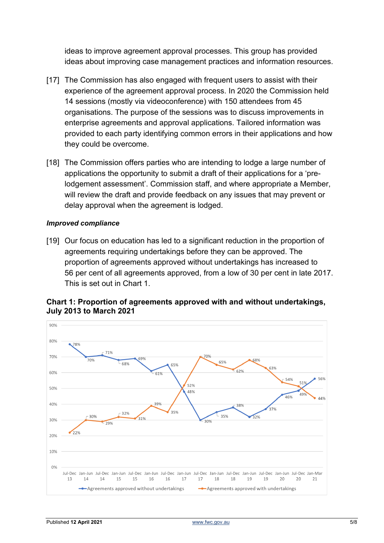ideas to improve agreement approval processes. This group has provided ideas about improving case management practices and information resources.

- [17] The Commission has also engaged with frequent users to assist with their experience of the agreement approval process. In 2020 the Commission held 14 sessions (mostly via videoconference) with 150 attendees from 45 organisations. The purpose of the sessions was to discuss improvements in enterprise agreements and approval applications. Tailored information was provided to each party identifying common errors in their applications and how they could be overcome.
- [18] The Commission offers parties who are intending to lodge a large number of applications the opportunity to submit a draft of their applications for a 'prelodgement assessment'. Commission staff, and where appropriate a Member, will review the draft and provide feedback on any issues that may prevent or delay approval when the agreement is lodged.

#### *Improved compliance*

[19] Our focus on education has led to a significant reduction in the proportion of agreements requiring undertakings before they can be approved. The proportion of agreements approved without undertakings has increased to 56 per cent of all agreements approved, from a low of 30 per cent in late 2017. This is set out in Chart 1.



# **Chart 1: Proportion of agreements approved with and without undertakings, July 2013 to March 2021**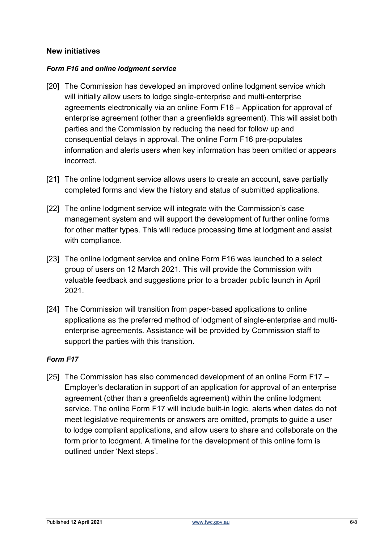# **New initiatives**

#### *Form F16 and online lodgment service*

- [20] The Commission has developed an improved online lodgment service which will initially allow users to lodge single-enterprise and multi-enterprise agreements electronically via an online Form F16 – Application for approval of enterprise agreement (other than a greenfields agreement). This will assist both parties and the Commission by reducing the need for follow up and consequential delays in approval. The online Form F16 pre-populates information and alerts users when key information has been omitted or appears incorrect.
- [21] The online lodgment service allows users to create an account, save partially completed forms and view the history and status of submitted applications.
- [22] The online lodgment service will integrate with the Commission's case management system and will support the development of further online forms for other matter types. This will reduce processing time at lodgment and assist with compliance.
- [23] The online lodgment service and online Form F16 was launched to a select group of users on 12 March 2021. This will provide the Commission with valuable feedback and suggestions prior to a broader public launch in April 2021.
- [24] The Commission will transition from paper-based applications to online applications as the preferred method of lodgment of single-enterprise and multienterprise agreements. Assistance will be provided by Commission staff to support the parties with this transition.

#### *Form F17*

[25] The Commission has also commenced development of an online Form F17 – Employer's declaration in support of an application for approval of an enterprise agreement (other than a greenfields agreement) within the online lodgment service. The online Form F17 will include built-in logic, alerts when dates do not meet legislative requirements or answers are omitted, prompts to guide a user to lodge compliant applications, and allow users to share and collaborate on the form prior to lodgment. A timeline for the development of this online form is outlined under 'Next steps'.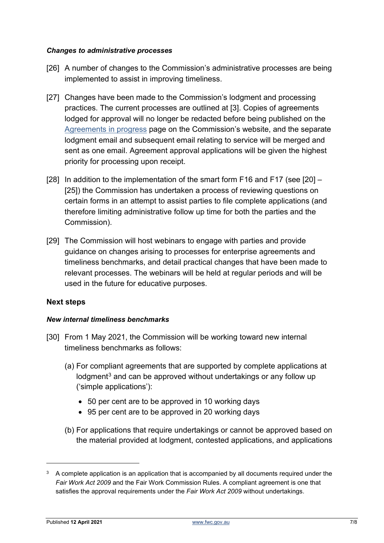#### *Changes to administrative processes*

- [26] A number of changes to the Commission's administrative processes are being implemented to assist in improving timeliness.
- [27] Changes have been made to the Commission's lodgment and processing practices. The current processes are outlined at [3]. Copies of agreements lodged for approval will no longer be redacted before being published on the [Agreements in progress](https://www.fwc.gov.au/awards-and-agreements/agreements/agreements-progress) page on the Commission's website, and the separate lodgment email and subsequent email relating to service will be merged and sent as one email. Agreement approval applications will be given the highest priority for processing upon receipt.
- [28] In addition to the implementation of the smart form F16 and F17 (see [20] [25]) the Commission has undertaken a process of reviewing questions on certain forms in an attempt to assist parties to file complete applications (and therefore limiting administrative follow up time for both the parties and the Commission).
- [29] The Commission will host webinars to engage with parties and provide guidance on changes arising to processes for enterprise agreements and timeliness benchmarks, and detail practical changes that have been made to relevant processes. The webinars will be held at regular periods and will be used in the future for educative purposes.

# **Next steps**

#### *New internal timeliness benchmarks*

- [30] From 1 May 2021, the Commission will be working toward new internal timeliness benchmarks as follows:
	- (a) For compliant agreements that are supported by complete applications at lodgment<sup>[3](#page-6-0)</sup> and can be approved without undertakings or any follow up ('simple applications'):
		- 50 per cent are to be approved in 10 working days
		- 95 per cent are to be approved in 20 working days
	- (b) For applications that require undertakings or cannot be approved based on the material provided at lodgment, contested applications, and applications

<span id="page-6-0"></span><sup>&</sup>lt;sup>3</sup> A complete application is an application that is accompanied by all documents required under the *Fair Work Act 2009* and the Fair Work Commission Rules. A compliant agreement is one that satisfies the approval requirements under the *Fair Work Act 2009* without undertakings.